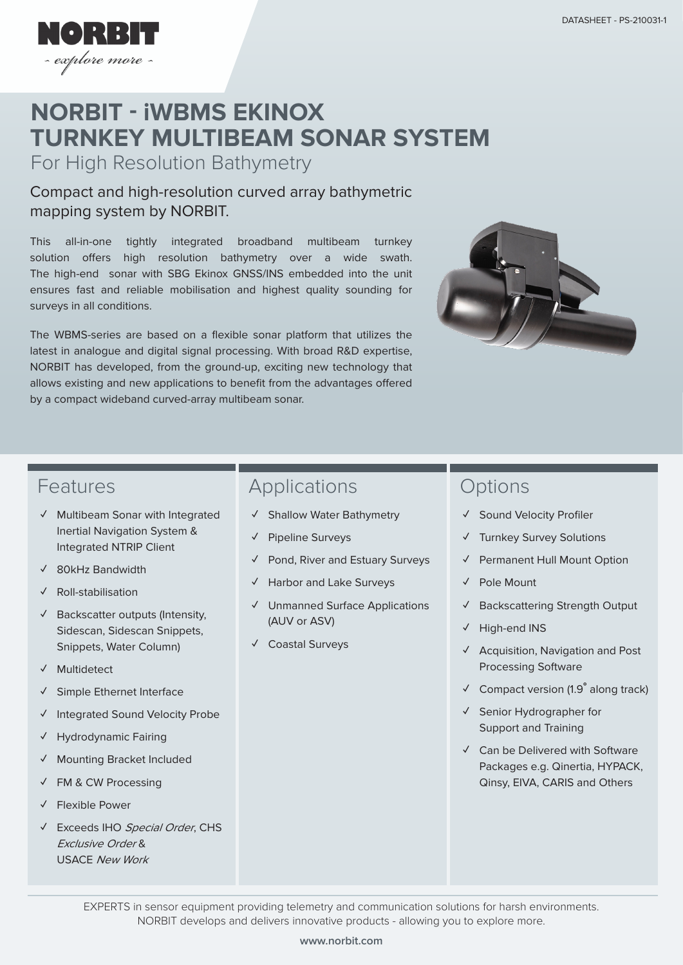

# **TURNKEY MULTIBEAM SONAR SYSTEM NORBIT - iWBMS EKINOX**

For High Resolution Bathymetry

#### Compact and high-resolution curved array bathymetric mapping system by NORBIT.

This all-in-one tightly integrated broadband multibeam turnkey solution offers high resolution bathymetry over a wide swath. The high-end sonar with SBG Ekinox GNSS/INS embedded into the unit ensures fast and reliable mobilisation and highest quality sounding for surveys in all conditions.

The WBMS-series are based on a flexible sonar platform that utilizes the latest in analogue and digital signal processing. With broad R&D expertise, NORBIT has developed, from the ground-up, exciting new technology that allows existing and new applications to benefit from the advantages offered by a compact wideband curved-array multibeam sonar.



#### Features

- **✓** Multibeam Sonar with Integrated Inertial Navigation System & Integrated NTRIP Client
- **✓** 80kHz Bandwidth
- **✓** Roll-stabilisation
- **✓** Backscatter outputs (Intensity, Sidescan, Sidescan Snippets, Snippets, Water Column)
- **✓** Multidetect
- **✓** Simple Ethernet Interface
- **✓** Integrated Sound Velocity Probe
- **✓** Hydrodynamic Fairing
- **✓** Mounting Bracket Included
- **✓** FM & CW Processing
- **✓** Flexible Power
- **✓** Exceeds IHO Special Order, CHS Exclusive Order & USACE New Work

## Applications

- **✓** Shallow Water Bathymetry
- **✓** Pipeline Surveys
- **✓** Pond, River and Estuary Surveys
- **✓** Harbor and Lake Surveys
- **✓** Unmanned Surface Applications (AUV or ASV)
- **✓** Coastal Surveys

### **Options**

- **✓** Sound Velocity Profiler
- **✓** Turnkey Survey Solutions
- **✓** Permanent Hull Mount Option
- **✓** Pole Mount
- **✓** Backscattering Strength Output
- **✓** High-end INS
- **✓** Acquisition, Navigation and Post Processing Software
- **✓** Compact version (1.9**°** along track)
- **✓** Senior Hydrographer for Support and Training
- **✓** Can be Delivered with Software Packages e.g. Qinertia, HYPACK, Qinsy, EIVA, CARIS and Others

EXPERTS in sensor equipment providing telemetry and communication solutions for harsh environments. NORBIT develops and delivers innovative products - allowing you to explore more.